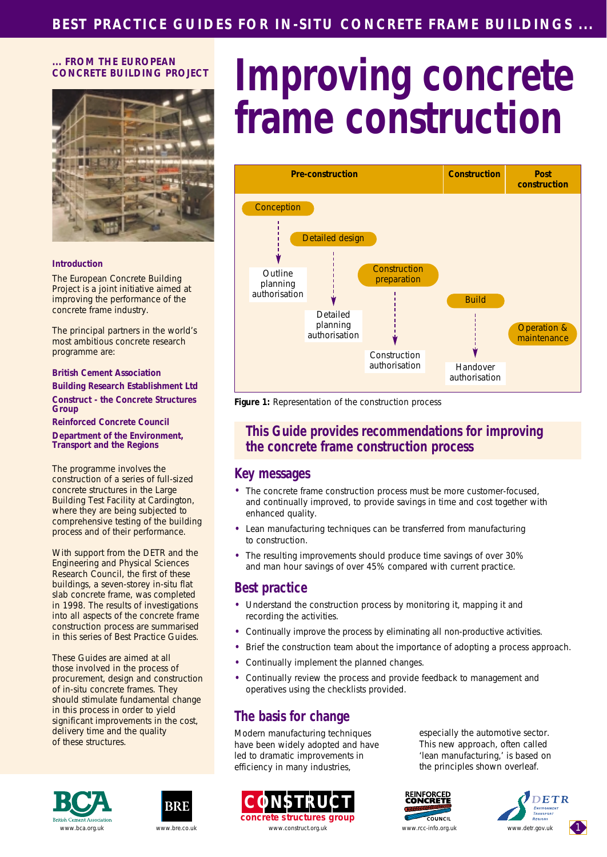#### **... FROM THE EUROPEAN CONCRETE BUILDING PROJECT**



#### **Introduction**

The European Concrete Building Project is a joint initiative aimed at improving the performance of the concrete frame industry.

The principal partners in the world's most ambitious concrete research programme are:

**British Cement Association Building Research Establishment Ltd**

**Construct - the Concrete Structures Group**

**Reinforced Concrete Council Department of the Environment, Transport and the Regions**

The programme involves the construction of a series of full-sized concrete structures in the Large Building Test Facility at Cardington, where they are being subjected to comprehensive testing of the building process and of their performance.

With support from the DETR and the Engineering and Physical Sciences Research Council, the first of these buildings, a seven-storey in-situ flat slab concrete frame, was completed in 1998. The results of investigations into all aspects of the concrete frame construction process are summarised in this series of Best Practice Guides.

These Guides are aimed at all those involved in the process of procurement, design and construction of in-situ concrete frames. They should stimulate fundamental change in this process in order to yield significant improvements in the cost, delivery time and the quality of these structures.

# **Improving concrete frame construction**



*Figure 1: Representation of the construction process*

## **This Guide provides recommendations for improving the concrete frame construction process**

#### **Key messages**

- The concrete frame construction process must be more customer-focused, and continually improved, to provide savings in time and cost together with enhanced quality.
- Lean manufacturing techniques can be transferred from manufacturing to construction.
- The resulting improvements should produce time savings of over 30% and man hour savings of over 45% compared with current practice.

#### **Best practice**

- Understand the construction process by monitoring it, mapping it and recording the activities.
- Continually improve the process by eliminating all non-productive activities.
- Brief the construction team about the importance of adopting a process approach.
- Continually implement the planned changes.
- Continually review the process and provide feedback to management and operatives using the checklists provided.

# **The basis for change**

Modern manufacturing techniques have been widely adopted and have led to dramatic improvements in efficiency in many industries,



especially the automotive sector. This new approach, often called 'lean manufacturing,' is based on the principles shown overleaf.









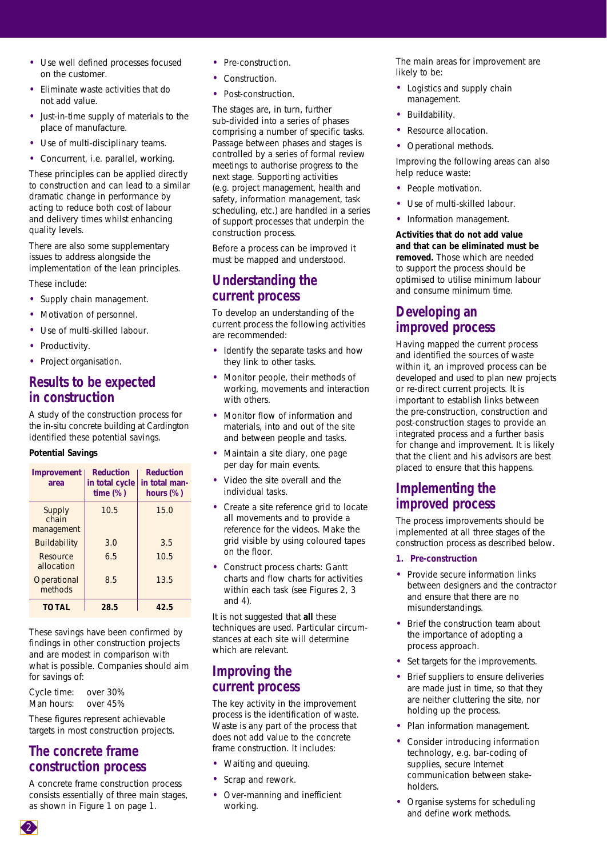- Use well defined processes focused on the customer.
- Eliminate waste activities that do not add value.
- Just-in-time supply of materials to the place of manufacture.
- Use of multi-disciplinary teams.
- Concurrent, i.e. parallel, working.

These principles can be applied directly to construction and can lead to a similar dramatic change in performance by acting to reduce both cost of labour and delivery times whilst enhancing quality levels.

There are also some supplementary issues to address alongside the implementation of the lean principles.

These include:

- Supply chain management.
- Motivation of personnel.
- Use of multi-skilled labour.
- Productivity.
- Project organisation.

## **Results to be expected in construction**

A study of the construction process for the in-situ concrete building at Cardington identified these potential savings.

#### **Potential Savings**

| Improvement<br>area           | <b>Reduction</b><br>in total cycle<br>time(%) | <b>Reduction</b><br>in total man-<br>hours $(\%)$ |
|-------------------------------|-----------------------------------------------|---------------------------------------------------|
| Supply<br>chain<br>management | 10.5                                          | 15.0                                              |
| <b>Buildability</b>           | 3.0                                           | 3.5                                               |
| Resource<br>allocation        | 6.5                                           | 10.5                                              |
| Operational<br>methods        | 8.5                                           | 13.5                                              |
| <b>TOTAL</b>                  | 28.5                                          | 42.5                                              |

These savings have been confirmed by findings in other construction projects and are modest in comparison with what is possible. Companies should aim for savings of:

*Cycle time: over 30% Man hours: over 45%*

These figures represent achievable targets in most construction projects.

## **The concrete frame construction process**

A concrete frame construction process consists essentially of three main stages, as shown in Figure 1 on page 1.

- Pre-construction.
- Construction.
- Post-construction.

The stages are, in turn, further sub-divided into a series of phases comprising a number of specific tasks. Passage between phases and stages is controlled by a series of formal review meetings to authorise progress to the next stage. Supporting activities (e.g. project management, health and safety, information management, task scheduling, etc.) are handled in a series of support processes that underpin the construction process.

Before a process can be improved it must be mapped and understood.

## **Understanding the current process**

To develop an understanding of the current process the following activities are recommended:

- Identify the separate tasks and how they link to other tasks.
- Monitor people, their methods of working, movements and interaction with others.
- Monitor flow of information and materials, into and out of the site and between people and tasks.
- Maintain a site diary, one page per day for main events.
- Video the site overall and the individual tasks.
- Create a site reference grid to locate all movements and to provide a reference for the videos. Make the grid visible by using coloured tapes on the floor.
- Construct process charts: Gantt charts and flow charts for activities within each task (see Figures 2, 3 and 4).

It is not suggested that **all** these techniques are used. Particular circumstances at each site will determine which are relevant.

### **Improving the current process**

The key activity in the improvement process is the identification of waste. Waste is any part of the process that does not add value to the concrete frame construction. It includes:

- Waiting and queuing.
- Scrap and rework.
- Over-manning and inefficient working.

The main areas for improvement are likely to be:

- Logistics and supply chain management.
- Buildability.
- Resource allocation.
- Operational methods.

Improving the following areas can also help reduce waste:

- People motivation.
- Use of multi-skilled labour.
- Information management.

**Activities that do not add value and that can be eliminated must be removed.** Those which are needed to support the process should be optimised to utilise minimum labour and consume minimum time.

## **Developing an improved process**

Having mapped the current process and identified the sources of waste within it, an improved process can be developed and used to plan new projects or re-direct current projects. It is important to establish links between the pre-construction, construction and post-construction stages to provide an integrated process and a further basis for change and improvement. It is likely that the client and his advisors are best placed to ensure that this happens.

### **Implementing the improved process**

The process improvements should be implemented at all three stages of the construction process as described below.

- **1. Pre-construction**
- Provide secure information links between designers and the contractor and ensure that there are no misunderstandings.
- Brief the construction team about the importance of adopting a process approach.
- Set targets for the improvements.
- Brief suppliers to ensure deliveries are made just in time, so that they are neither cluttering the site, nor holding up the process.
- Plan information management.
- Consider introducing information technology, e.g. bar-coding of supplies, secure Internet communication between stakeholders.
- Organise systems for scheduling and define work methods.

2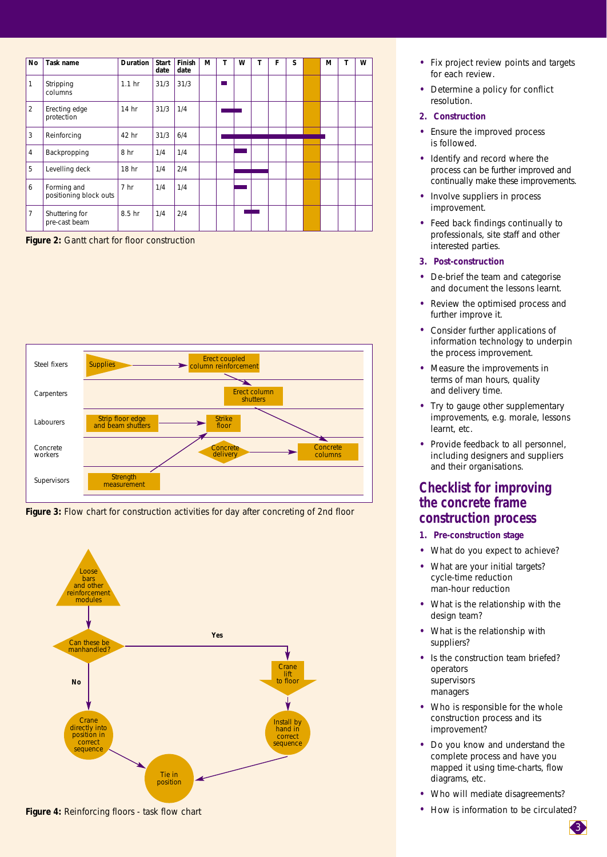| No             | Task name                             | <b>Duration</b>   | <b>Start</b><br>date | Finish<br>date | M | Т | w | т | F | S | м | т | W |
|----------------|---------------------------------------|-------------------|----------------------|----------------|---|---|---|---|---|---|---|---|---|
| 1              | Stripping<br>columns                  | 1.1 <sub>hr</sub> | 31/3                 | 31/3           |   |   |   |   |   |   |   |   |   |
| $\overline{2}$ | Erecting edge<br>protection           | 14 hr             | 31/3                 | 1/4            |   |   |   |   |   |   |   |   |   |
| 3              | Reinforcing                           | 42 hr             | 31/3                 | 6/4            |   |   |   |   |   |   |   |   |   |
| $\overline{4}$ | Backpropping                          | 8 hr              | 1/4                  | 1/4            |   |   |   |   |   |   |   |   |   |
| 5              | Levelling deck                        | 18 hr             | 1/4                  | 2/4            |   |   |   |   |   |   |   |   |   |
| 6              | Forming and<br>positioning block outs | 7 <sub>hr</sub>   | 1/4                  | 1/4            |   |   |   |   |   |   |   |   |   |
| 7              | Shuttering for<br>pre-cast beam       | 8.5 hr            | 1/4                  | 2/4            |   |   |   |   |   |   |   |   |   |

*Figure 2: Gantt chart for floor construction*



*Figure 3: Flow chart for construction activities for day after concreting of 2nd floor*



*Figure 4: Reinforcing floors - task flow chart*

- Fix project review points and targets for each review.
- Determine a policy for conflict resolution.

#### **2. Construction**

- Ensure the improved process is followed.
- Identify and record where the process can be further improved and continually make these improvements.
- Involve suppliers in process improvement.
- Feed back findings continually to professionals, site staff and other interested parties.

#### **3. Post-construction**

- De-brief the team and categorise and document the lessons learnt.
- Review the optimised process and further improve it.
- Consider further applications of information technology to underpin the process improvement.
- Measure the improvements in terms of man hours, quality and delivery time.
- Try to gauge other supplementary improvements, e.g. morale, lessons learnt, etc.
- Provide feedback to all personnel, including designers and suppliers and their organisations.

## **Checklist for improving the concrete frame construction process**

- **1. Pre-construction stage**
- What do you expect to achieve?
- What are your initial targets? *cycle-time reduction man-hour reduction*
- What is the relationship with the design team?
- What is the relationship with suppliers?
- Is the construction team briefed? *operators supervisors managers*
- Who is responsible for the whole construction process and its improvement?
- Do you know and understand the complete process and have you mapped it using time-charts, flow diagrams, etc.
- Who will mediate disagreements?
- How is information to be circulated?

3